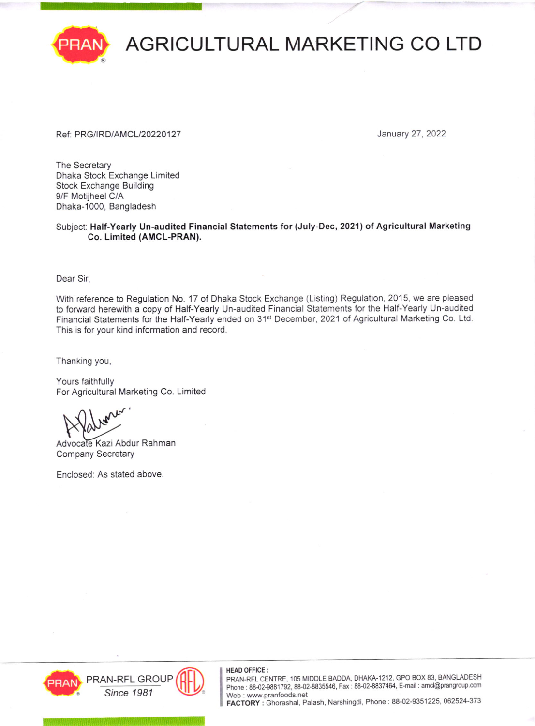

## **AGRICULTURAL MARKETING CO LTD**

### Ref: PRG/IRD/AMCL/20220127 January 27, 2022

The Secretary Dhaka Stock Exchange Limited Stock Exchange Building 9/F Motijheel C/A Dhaka-1000, Bangladesh

Subject: Half-Yearly Un-audited Financial Statements for (July-Dec, 2021) of Agricultural Marketing Co. Limited (AMCL-PRAN).

Dear Sir,

With reference to Regulation No. 17 of Dhaka Stock Exchange (Listing) Regulation, 2015, we are pleased to forward herewith a copy of Half-Yearly Un-audited Financial Statements for the Half-Yearly Un-audited Financial Statements for the Half-Yearly ended on 31"' December, 2021 of Agricultural Marketing Co. Ltd. This is for your kind information and record.

Thanking you,

Yours faithfully For Agricultural Marketing Co. Limited

Advocate Kazi Abdur Rahman Company Secretary

Enclosed: As stated above





### HEAD OFFICE:

PRAN-RFL CENTRE, 105 MIDOLE BADOA, DHAKA-1212, GPO BOX 83, BANGLADESH Phone : 88-02-9881792, 88-02-8835546, Fax : 88-02-8837464, E-mail : amcl@prangroup.com<br>Web : www.pranfoods.net

FACTORY: Ghorashal, Palash, Narshingdi, Phone: 88-02-9351225, 062524-373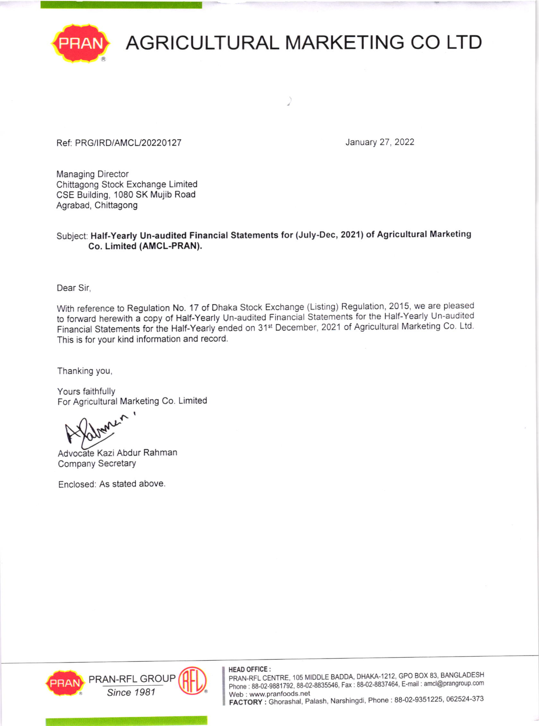

# AGRICULTURAL MARKETING CO LTD

### Ref: PRG/IRD/AMCL/20220127 **January 27, 2022**

Managing Director Chittagong Stock Exchange Limited CSE Building, 1080 SK Mujib Road Agrabad, Chittagong

### Subject: Half-Yearly Un-audited Financial Statements for (July-Dec, 2021) of Agricultural Marketing Co. Limited (AMCL-PRAN).

Dear Sir,

With reference to Regulation No. 17 of Dhaka Stock Exchange (Listing) Regulation, 2015, we are pleased to forward herewith a copy of Half-Yearly Un-audited Financial Statements for the Half-Yearly Un-audited Financial Statements for the Half-Yearly ended on 31<sup>st</sup> December, 2021 of Agricultural Marketing Co. Ltd. This is for your kind information and record.

Thanking you,

Yours faithfully For Agricultural Marketing Co. Limited

f.'

Advocate Kazi Abdur Rahman Company Secretary

Enclosed: As stated above





HEAD OFFICE :<br>PRAN-RFL CENTRE, 105 MIDDLE BADDA, DHAKA-1212, GPO BOX 83, BANGLADESH Phone : 88-02-9881792, 88-02-8835546, Fax : 88-02-8837464, E-mail : amcl@prangroup.com Web : www.pranfoods.net<br>FACTORY : Ghorashal, Palash, Narshingdi, Phone : 88-02-9351225, 062524-373 FRAN-RFL GROUP (PHEAD OFFICE:<br>
FRAN-RFL GROUP PRAN-RFL CENTRE, 105 MIDDLE BADDA, DHAKA-1212, GPO BOX 83, BANGLADESH<br>
Phone : 88-02-9881792, 88-02-9881792, 88-02-8835546, Fax : 88-02-8837464, E-mail : amcl@prangroup.com<br>
FA